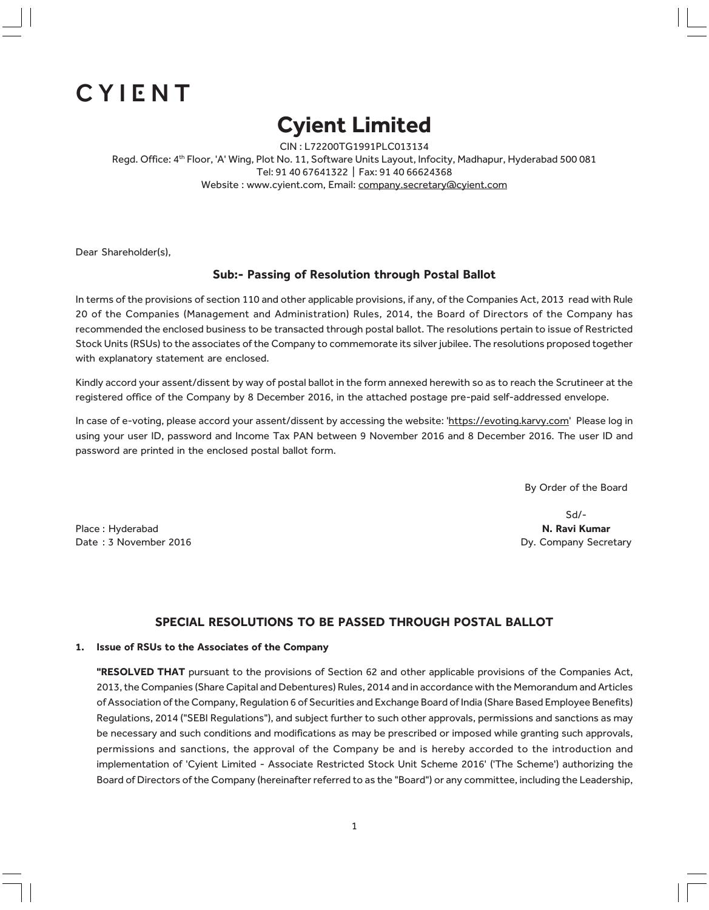# CYIENT

# Cyient Limited

CIN : L72200TG1991PLC013134 Regd. Office: 4<sup>th</sup> Floor, 'A' Wing, Plot No. 11, Software Units Layout, Infocity, Madhapur, Hyderabad 500 081 Tel: 91 40 67641322 | Fax: 91 40 66624368 Website : www.cyient.com, Email: company.secretary@cyient.com

Dear Shareholder(s),

## Sub:- Passing of Resolution through Postal Ballot

In terms of the provisions of section 110 and other applicable provisions, if any, of the Companies Act, 2013 read with Rule 20 of the Companies (Management and Administration) Rules, 2014, the Board of Directors of the Company has recommended the enclosed business to be transacted through postal ballot. The resolutions pertain to issue of Restricted Stock Units (RSUs) to the associates of the Company to commemorate its silver jubilee. The resolutions proposed together with explanatory statement are enclosed.

Kindly accord your assent/dissent by way of postal ballot in the form annexed herewith so as to reach the Scrutineer at the registered office of the Company by 8 December 2016, in the attached postage pre-paid self-addressed envelope.

In case of e-voting, please accord your assent/dissent by accessing the website: 'https://evoting.karvy.com' Please log in using your user ID, password and Income Tax PAN between 9 November 2016 and 8 December 2016. The user ID and password are printed in the enclosed postal ballot form.

By Order of the Board

Place : Hyderabad **N. Ravi Kumar** N. Ravi Kumar N. Ravi Kumar N. Ravi Kumar N. Ravi Kumar N. Ravi Kumar N. Ravi Kumar Date : 3 November 2016 **Date : 3 November 2016 Dy. Company Secretary** 

Sd/-

## SPECIAL RESOLUTIONS TO BE PASSED THROUGH POSTAL BALLOT

#### 1. Issue of RSUs to the Associates of the Company

"RESOLVED THAT pursuant to the provisions of Section 62 and other applicable provisions of the Companies Act, 2013, the Companies (Share Capital and Debentures) Rules, 2014 and in accordance with the Memorandum and Articles of Association of the Company, Regulation 6 of Securities and Exchange Board of India (Share Based Employee Benefits) Regulations, 2014 ("SEBI Regulations"), and subject further to such other approvals, permissions and sanctions as may be necessary and such conditions and modifications as may be prescribed or imposed while granting such approvals, permissions and sanctions, the approval of the Company be and is hereby accorded to the introduction and implementation of 'Cyient Limited - Associate Restricted Stock Unit Scheme 2016' ('The Scheme') authorizing the Board of Directors of the Company (hereinafter referred to as the "Board") or any committee, including the Leadership,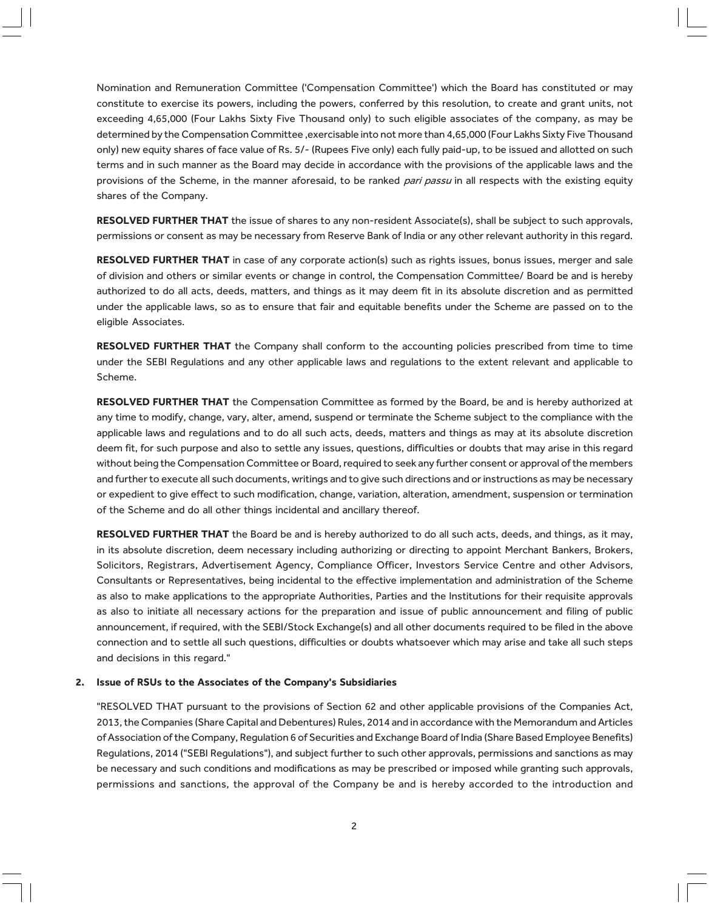Nomination and Remuneration Committee ('Compensation Committee') which the Board has constituted or may constitute to exercise its powers, including the powers, conferred by this resolution, to create and grant units, not exceeding 4,65,000 (Four Lakhs Sixty Five Thousand only) to such eligible associates of the company, as may be determined by the Compensation Committee , exercisable into not more than 4,65,000 (Four Lakhs Sixty Five Thousand only) new equity shares of face value of Rs. 5/- (Rupees Five only) each fully paid-up, to be issued and allotted on such terms and in such manner as the Board may decide in accordance with the provisions of the applicable laws and the provisions of the Scheme, in the manner aforesaid, to be ranked pari passu in all respects with the existing equity shares of the Company.

RESOLVED FURTHER THAT the issue of shares to any non-resident Associate(s), shall be subject to such approvals, permissions or consent as may be necessary from Reserve Bank of India or any other relevant authority in this regard.

RESOLVED FURTHER THAT in case of any corporate action(s) such as rights issues, bonus issues, merger and sale of division and others or similar events or change in control, the Compensation Committee/ Board be and is hereby authorized to do all acts, deeds, matters, and things as it may deem fit in its absolute discretion and as permitted under the applicable laws, so as to ensure that fair and equitable benefits under the Scheme are passed on to the eligible Associates.

RESOLVED FURTHER THAT the Company shall conform to the accounting policies prescribed from time to time under the SEBI Regulations and any other applicable laws and regulations to the extent relevant and applicable to Scheme.

RESOLVED FURTHER THAT the Compensation Committee as formed by the Board, be and is hereby authorized at any time to modify, change, vary, alter, amend, suspend or terminate the Scheme subject to the compliance with the applicable laws and regulations and to do all such acts, deeds, matters and things as may at its absolute discretion deem fit, for such purpose and also to settle any issues, questions, difficulties or doubts that may arise in this regard without being the Compensation Committee or Board, required to seek any further consent or approval of the members and further to execute all such documents, writings and to give such directions and or instructions as may be necessary or expedient to give effect to such modification, change, variation, alteration, amendment, suspension or termination of the Scheme and do all other things incidental and ancillary thereof.

RESOLVED FURTHER THAT the Board be and is hereby authorized to do all such acts, deeds, and things, as it may, in its absolute discretion, deem necessary including authorizing or directing to appoint Merchant Bankers, Brokers, Solicitors, Registrars, Advertisement Agency, Compliance Officer, Investors Service Centre and other Advisors, Consultants or Representatives, being incidental to the effective implementation and administration of the Scheme as also to make applications to the appropriate Authorities, Parties and the Institutions for their requisite approvals as also to initiate all necessary actions for the preparation and issue of public announcement and filing of public announcement, if required, with the SEBI/Stock Exchange(s) and all other documents required to be filed in the above connection and to settle all such questions, difficulties or doubts whatsoever which may arise and take all such steps and decisions in this regard."

#### 2. Issue of RSUs to the Associates of the Company's Subsidiaries

"RESOLVED THAT pursuant to the provisions of Section 62 and other applicable provisions of the Companies Act, 2013, the Companies (Share Capital and Debentures) Rules, 2014 and in accordance with the Memorandum and Articles of Association of the Company, Regulation 6 of Securities and Exchange Board of India (Share Based Employee Benefits) Regulations, 2014 ("SEBI Regulations"), and subject further to such other approvals, permissions and sanctions as may be necessary and such conditions and modifications as may be prescribed or imposed while granting such approvals, permissions and sanctions, the approval of the Company be and is hereby accorded to the introduction and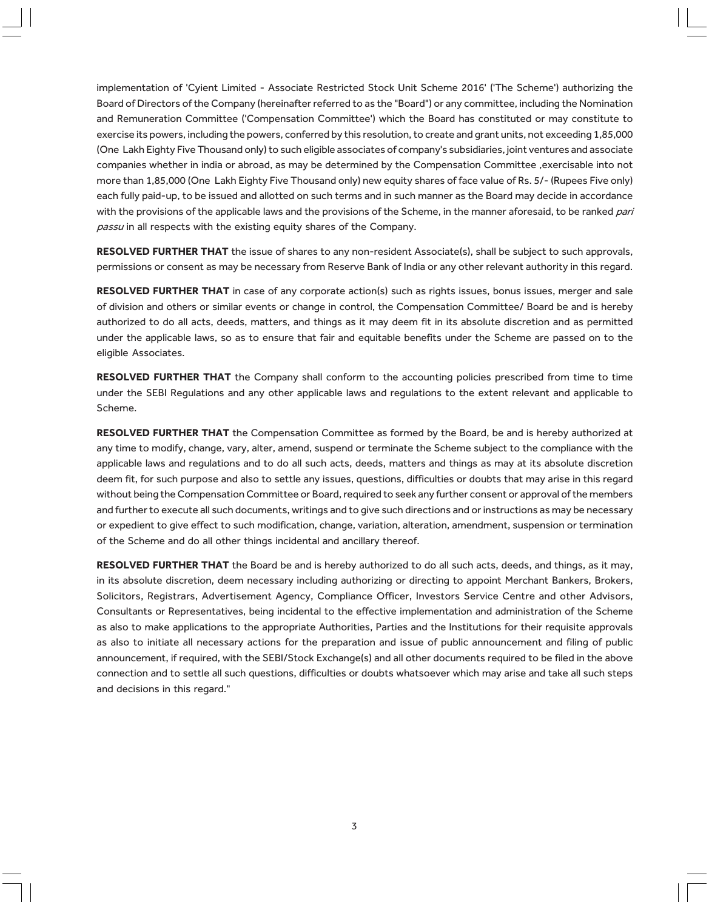implementation of 'Cyient Limited - Associate Restricted Stock Unit Scheme 2016' ('The Scheme') authorizing the Board of Directors of the Company (hereinafter referred to as the "Board") or any committee, including the Nomination and Remuneration Committee ('Compensation Committee') which the Board has constituted or may constitute to exercise its powers, including the powers, conferred by this resolution, to create and grant units, not exceeding 1,85,000 (One Lakh Eighty Five Thousand only) to such eligible associates of company's subsidiaries, joint ventures and associate companies whether in india or abroad, as may be determined by the Compensation Committee ,exercisable into not more than 1,85,000 (One Lakh Eighty Five Thousand only) new equity shares of face value of Rs. 5/- (Rupees Five only) each fully paid-up, to be issued and allotted on such terms and in such manner as the Board may decide in accordance with the provisions of the applicable laws and the provisions of the Scheme, in the manner aforesaid, to be ranked pari passu in all respects with the existing equity shares of the Company.

RESOLVED FURTHER THAT the issue of shares to any non-resident Associate(s), shall be subject to such approvals, permissions or consent as may be necessary from Reserve Bank of India or any other relevant authority in this regard.

RESOLVED FURTHER THAT in case of any corporate action(s) such as rights issues, bonus issues, merger and sale of division and others or similar events or change in control, the Compensation Committee/ Board be and is hereby authorized to do all acts, deeds, matters, and things as it may deem fit in its absolute discretion and as permitted under the applicable laws, so as to ensure that fair and equitable benefits under the Scheme are passed on to the eligible Associates.

RESOLVED FURTHER THAT the Company shall conform to the accounting policies prescribed from time to time under the SEBI Regulations and any other applicable laws and regulations to the extent relevant and applicable to Scheme.

RESOLVED FURTHER THAT the Compensation Committee as formed by the Board, be and is hereby authorized at any time to modify, change, vary, alter, amend, suspend or terminate the Scheme subject to the compliance with the applicable laws and regulations and to do all such acts, deeds, matters and things as may at its absolute discretion deem fit, for such purpose and also to settle any issues, questions, difficulties or doubts that may arise in this regard without being the Compensation Committee or Board, required to seek any further consent or approval of the members and further to execute all such documents, writings and to give such directions and or instructions as may be necessary or expedient to give effect to such modification, change, variation, alteration, amendment, suspension or termination of the Scheme and do all other things incidental and ancillary thereof.

RESOLVED FURTHER THAT the Board be and is hereby authorized to do all such acts, deeds, and things, as it may, in its absolute discretion, deem necessary including authorizing or directing to appoint Merchant Bankers, Brokers, Solicitors, Registrars, Advertisement Agency, Compliance Officer, Investors Service Centre and other Advisors, Consultants or Representatives, being incidental to the effective implementation and administration of the Scheme as also to make applications to the appropriate Authorities, Parties and the Institutions for their requisite approvals as also to initiate all necessary actions for the preparation and issue of public announcement and filing of public announcement, if required, with the SEBI/Stock Exchange(s) and all other documents required to be filed in the above connection and to settle all such questions, difficulties or doubts whatsoever which may arise and take all such steps and decisions in this regard."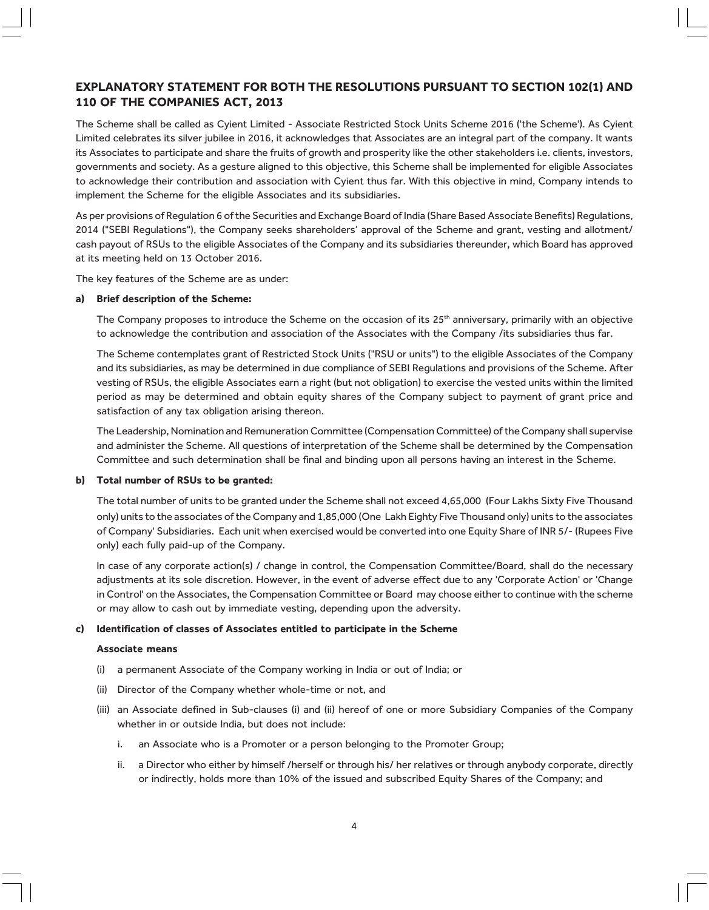# EXPLANATORY STATEMENT FOR BOTH THE RESOLUTIONS PURSUANT TO SECTION 102(1) AND 110 OF THE COMPANIES ACT, 2013

The Scheme shall be called as Cyient Limited - Associate Restricted Stock Units Scheme 2016 ('the Scheme'). As Cyient Limited celebrates its silver jubilee in 2016, it acknowledges that Associates are an integral part of the company. It wants its Associates to participate and share the fruits of growth and prosperity like the other stakeholders i.e. clients, investors, governments and society. As a gesture aligned to this objective, this Scheme shall be implemented for eligible Associates to acknowledge their contribution and association with Cyient thus far. With this objective in mind, Company intends to implement the Scheme for the eligible Associates and its subsidiaries.

As per provisions of Regulation 6 of the Securities and Exchange Board of India (Share Based Associate Benefits) Regulations, 2014 ("SEBI Regulations"), the Company seeks shareholders' approval of the Scheme and grant, vesting and allotment/ cash payout of RSUs to the eligible Associates of the Company and its subsidiaries thereunder, which Board has approved at its meeting held on 13 October 2016.

The key features of the Scheme are as under:

#### a) Brief description of the Scheme:

The Company proposes to introduce the Scheme on the occasion of its  $25<sup>th</sup>$  anniversary, primarily with an objective to acknowledge the contribution and association of the Associates with the Company /its subsidiaries thus far.

The Scheme contemplates grant of Restricted Stock Units ("RSU or units") to the eligible Associates of the Company and its subsidiaries, as may be determined in due compliance of SEBI Regulations and provisions of the Scheme. After vesting of RSUs, the eligible Associates earn a right (but not obligation) to exercise the vested units within the limited period as may be determined and obtain equity shares of the Company subject to payment of grant price and satisfaction of any tax obligation arising thereon.

The Leadership, Nomination and Remuneration Committee (Compensation Committee) of the Company shall supervise and administer the Scheme. All questions of interpretation of the Scheme shall be determined by the Compensation Committee and such determination shall be final and binding upon all persons having an interest in the Scheme.

#### b) Total number of RSUs to be granted:

The total number of units to be granted under the Scheme shall not exceed 4,65,000 (Four Lakhs Sixty Five Thousand only) units to the associates of the Company and 1,85,000 (One Lakh Eighty Five Thousand only) units to the associates of Company' Subsidiaries. Each unit when exercised would be converted into one Equity Share of INR 5/- (Rupees Five only) each fully paid-up of the Company.

In case of any corporate action(s) / change in control, the Compensation Committee/Board, shall do the necessary adjustments at its sole discretion. However, in the event of adverse effect due to any 'Corporate Action' or 'Change in Control' on the Associates, the Compensation Committee or Board may choose either to continue with the scheme or may allow to cash out by immediate vesting, depending upon the adversity.

#### c) Identification of classes of Associates entitled to participate in the Scheme

#### Associate means

- (i) a permanent Associate of the Company working in India or out of India; or
- (ii) Director of the Company whether whole-time or not, and
- (iii) an Associate defined in Sub-clauses (i) and (ii) hereof of one or more Subsidiary Companies of the Company whether in or outside India, but does not include:
	- i. an Associate who is a Promoter or a person belonging to the Promoter Group;
	- ii. a Director who either by himself /herself or through his/ her relatives or through anybody corporate, directly or indirectly, holds more than 10% of the issued and subscribed Equity Shares of the Company; and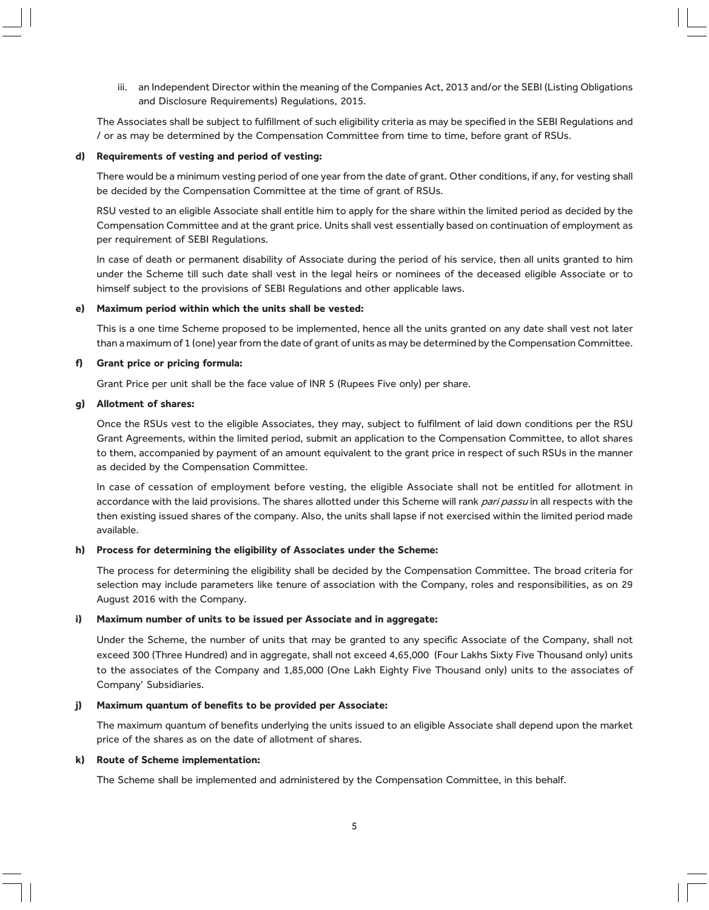iii. an Independent Director within the meaning of the Companies Act, 2013 and/or the SEBI (Listing Obligations and Disclosure Requirements) Regulations, 2015.

The Associates shall be subject to fulfillment of such eligibility criteria as may be specified in the SEBI Regulations and / or as may be determined by the Compensation Committee from time to time, before grant of RSUs.

#### d) Requirements of vesting and period of vesting:

There would be a minimum vesting period of one year from the date of grant. Other conditions, if any, for vesting shall be decided by the Compensation Committee at the time of grant of RSUs.

RSU vested to an eligible Associate shall entitle him to apply for the share within the limited period as decided by the Compensation Committee and at the grant price. Units shall vest essentially based on continuation of employment as per requirement of SEBI Regulations.

In case of death or permanent disability of Associate during the period of his service, then all units granted to him under the Scheme till such date shall vest in the legal heirs or nominees of the deceased eligible Associate or to himself subject to the provisions of SEBI Regulations and other applicable laws.

#### e) Maximum period within which the units shall be vested:

This is a one time Scheme proposed to be implemented, hence all the units granted on any date shall vest not later than a maximum of 1 (one) year from the date of grant of units as may be determined by the Compensation Committee.

#### f) Grant price or pricing formula:

Grant Price per unit shall be the face value of INR 5 (Rupees Five only) per share.

#### g) Allotment of shares:

Once the RSUs vest to the eligible Associates, they may, subject to fulfilment of laid down conditions per the RSU Grant Agreements, within the limited period, submit an application to the Compensation Committee, to allot shares to them, accompanied by payment of an amount equivalent to the grant price in respect of such RSUs in the manner as decided by the Compensation Committee.

In case of cessation of employment before vesting, the eligible Associate shall not be entitled for allotment in accordance with the laid provisions. The shares allotted under this Scheme will rank pari passu in all respects with the then existing issued shares of the company. Also, the units shall lapse if not exercised within the limited period made available.

#### h) Process for determining the eligibility of Associates under the Scheme:

The process for determining the eligibility shall be decided by the Compensation Committee. The broad criteria for selection may include parameters like tenure of association with the Company, roles and responsibilities, as on 29 August 2016 with the Company.

#### i) Maximum number of units to be issued per Associate and in aggregate:

Under the Scheme, the number of units that may be granted to any specific Associate of the Company, shall not exceed 300 (Three Hundred) and in aggregate, shall not exceed 4,65,000 (Four Lakhs Sixty Five Thousand only) units to the associates of the Company and 1,85,000 (One Lakh Eighty Five Thousand only) units to the associates of Company' Subsidiaries.

#### j) Maximum quantum of benefits to be provided per Associate:

The maximum quantum of benefits underlying the units issued to an eligible Associate shall depend upon the market price of the shares as on the date of allotment of shares.

#### k) Route of Scheme implementation:

The Scheme shall be implemented and administered by the Compensation Committee, in this behalf.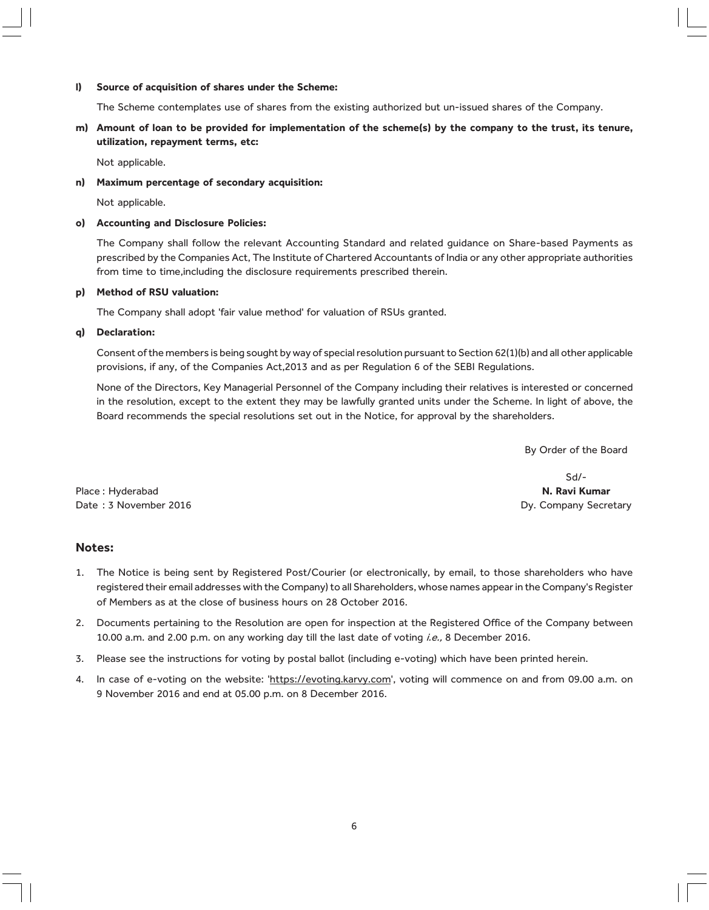#### l) Source of acquisition of shares under the Scheme:

The Scheme contemplates use of shares from the existing authorized but un-issued shares of the Company.

m) Amount of loan to be provided for implementation of the scheme(s) by the company to the trust, its tenure, utilization, repayment terms, etc:

Not applicable.

n) Maximum percentage of secondary acquisition:

Not applicable.

#### o) Accounting and Disclosure Policies:

The Company shall follow the relevant Accounting Standard and related guidance on Share-based Payments as prescribed by the Companies Act, The Institute of Chartered Accountants of India or any other appropriate authorities from time to time,including the disclosure requirements prescribed therein.

## p) Method of RSU valuation:

The Company shall adopt 'fair value method' for valuation of RSUs granted.

#### q) Declaration:

Consent of the members is being sought by way of special resolution pursuant to Section 62(1)(b) and all other applicable provisions, if any, of the Companies Act,2013 and as per Regulation 6 of the SEBI Regulations.

None of the Directors, Key Managerial Personnel of the Company including their relatives is interested or concerned in the resolution, except to the extent they may be lawfully granted units under the Scheme. In light of above, the Board recommends the special resolutions set out in the Notice, for approval by the shareholders.

By Order of the Board

Place : Hyderabad **N. Ravi Kumar** N. Ravi Kumar N. Ravi Kumar N. Ravi Kumar N. Ravi Kumar N. Ravi Kumar N. Ravi Kumar Date : 3 November 2016 **Date : 3 November 2016 Dy. Company Secretary** 

Sd/-

### Notes:

- 1. The Notice is being sent by Registered Post/Courier (or electronically, by email, to those shareholders who have registered their email addresses with the Company) to all Shareholders, whose names appear in the Company's Register of Members as at the close of business hours on 28 October 2016.
- 2. Documents pertaining to the Resolution are open for inspection at the Registered Office of the Company between 10.00 a.m. and 2.00 p.m. on any working day till the last date of voting i.e., 8 December 2016.
- 3. Please see the instructions for voting by postal ballot (including e-voting) which have been printed herein.
- 4. In case of e-voting on the website: 'https://evoting.karvy.com', voting will commence on and from 09.00 a.m. on 9 November 2016 and end at 05.00 p.m. on 8 December 2016.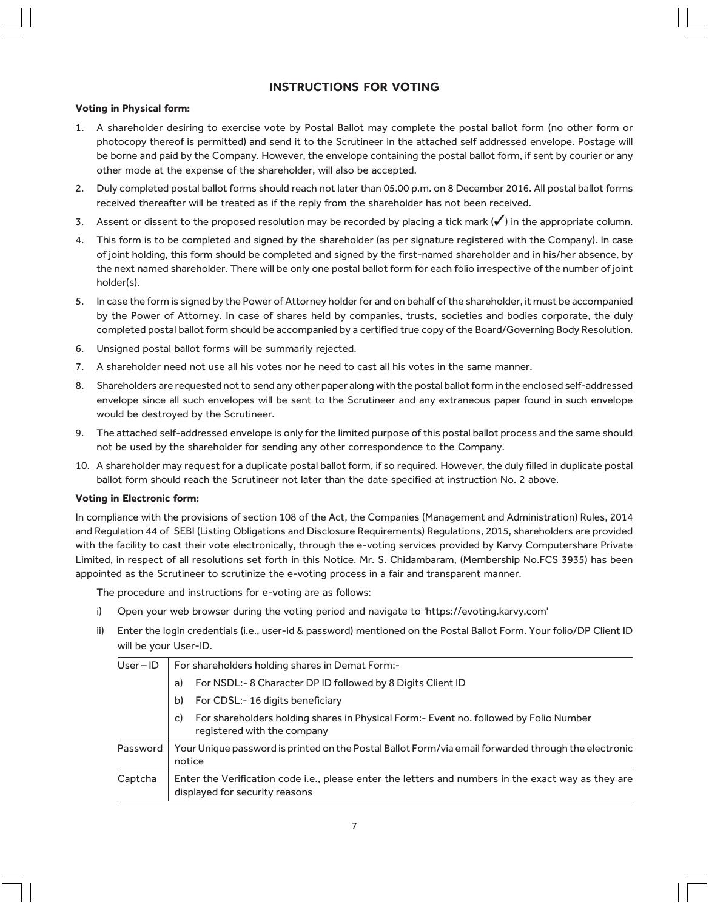# INSTRUCTIONS FOR VOTING

#### Voting in Physical form:

- 1. A shareholder desiring to exercise vote by Postal Ballot may complete the postal ballot form (no other form or photocopy thereof is permitted) and send it to the Scrutineer in the attached self addressed envelope. Postage will be borne and paid by the Company. However, the envelope containing the postal ballot form, if sent by courier or any other mode at the expense of the shareholder, will also be accepted.
- 2. Duly completed postal ballot forms should reach not later than 05.00 p.m. on 8 December 2016. All postal ballot forms received thereafter will be treated as if the reply from the shareholder has not been received.
- 3. Assent or dissent to the proposed resolution may be recorded by placing a tick mark  $(\checkmark)$  in the appropriate column.
- 4. This form is to be completed and signed by the shareholder (as per signature registered with the Company). In case of joint holding, this form should be completed and signed by the first-named shareholder and in his/her absence, by the next named shareholder. There will be only one postal ballot form for each folio irrespective of the number of joint holder(s).
- 5. In case the form is signed by the Power of Attorney holder for and on behalf of the shareholder, it must be accompanied by the Power of Attorney. In case of shares held by companies, trusts, societies and bodies corporate, the duly completed postal ballot form should be accompanied by a certified true copy of the Board/Governing Body Resolution.
- 6. Unsigned postal ballot forms will be summarily rejected.
- 7. A shareholder need not use all his votes nor he need to cast all his votes in the same manner.
- 8. Shareholders are requested not to send any other paper along with the postal ballot form in the enclosed self-addressed envelope since all such envelopes will be sent to the Scrutineer and any extraneous paper found in such envelope would be destroyed by the Scrutineer.
- 9. The attached self-addressed envelope is only for the limited purpose of this postal ballot process and the same should not be used by the shareholder for sending any other correspondence to the Company.
- 10. A shareholder may request for a duplicate postal ballot form, if so required. However, the duly filled in duplicate postal ballot form should reach the Scrutineer not later than the date specified at instruction No. 2 above.

#### Voting in Electronic form:

In compliance with the provisions of section 108 of the Act, the Companies (Management and Administration) Rules, 2014 and Regulation 44 of SEBI (Listing Obligations and Disclosure Requirements) Regulations, 2015, shareholders are provided with the facility to cast their vote electronically, through the e-voting services provided by Karvy Computershare Private Limited, in respect of all resolutions set forth in this Notice. Mr. S. Chidambaram, (Membership No.FCS 3935) has been appointed as the Scrutineer to scrutinize the e-voting process in a fair and transparent manner.

The procedure and instructions for e-voting are as follows:

- i) Open your web browser during the voting period and navigate to 'https://evoting.karvy.com'
- ii) Enter the login credentials (i.e., user-id & password) mentioned on the Postal Ballot Form. Your folio/DP Client ID will be your User-ID.

| $User - ID$ | For shareholders holding shares in Demat Form:-                                                                                       |
|-------------|---------------------------------------------------------------------------------------------------------------------------------------|
|             | For NSDL:-8 Character DP ID followed by 8 Digits Client ID<br>a)                                                                      |
|             | For CDSL:-16 digits beneficiary<br>b)                                                                                                 |
|             | For shareholders holding shares in Physical Form:- Event no. followed by Folio Number<br>C)<br>registered with the company            |
| Password    | Your Unique password is printed on the Postal Ballot Form/via email forwarded through the electronic<br>notice                        |
| Captcha     | Enter the Verification code i.e., please enter the letters and numbers in the exact way as they are<br>displayed for security reasons |